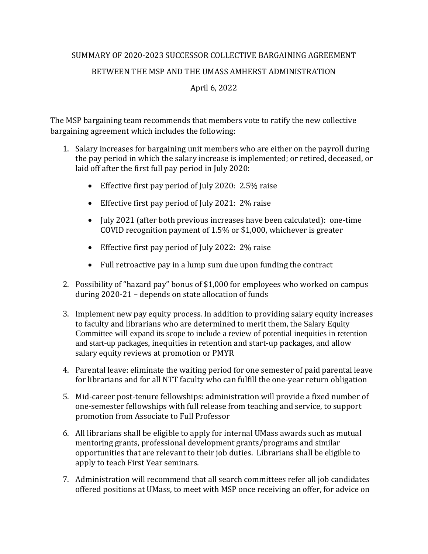## SUMMARY OF 2020-2023 SUCCESSOR COLLECTIVE BARGAINING AGREEMENT BETWEEN THE MSP AND THE UMASS AMHERST ADMINISTRATION April 6, 2022

The MSP bargaining team recommends that members vote to ratify the new collective bargaining agreement which includes the following:

- 1. Salary increases for bargaining unit members who are either on the payroll during the pay period in which the salary increase is implemented; or retired, deceased, or laid off after the first full pay period in July 2020:
	- Effective first pay period of July 2020: 2.5% raise
	- Effective first pay period of July 2021: 2% raise
	- July 2021 (after both previous increases have been calculated): one-time COVID recognition payment of 1.5% or \$1,000, whichever is greater
	- Effective first pay period of July 2022: 2% raise
	- Full retroactive pay in a lump sum due upon funding the contract
- 2. Possibility of "hazard pay" bonus of \$1,000 for employees who worked on campus during 2020-21 – depends on state allocation of funds
- 3. Implement new pay equity process. In addition to providing salary equity increases to faculty and librarians who are determined to merit them, the Salary Equity Committee will expand its scope to include a review of potential inequities in retention and start-up packages, inequities in retention and start-up packages, and allow salary equity reviews at promotion or PMYR
- 4. Parental leave: eliminate the waiting period for one semester of paid parental leave for librarians and for all NTT faculty who can fulfill the one-year return obligation
- 5. Mid-career post-tenure fellowships: administration will provide a fixed number of one-semester fellowships with full release from teaching and service, to support promotion from Associate to Full Professor
- 6. All librarians shall be eligible to apply for internal UMass awards such as mutual mentoring grants, professional development grants/programs and similar opportunities that are relevant to their job duties. Librarians shall be eligible to apply to teach First Year seminars.
- 7. Administration will recommend that all search committees refer all job candidates offered positions at UMass, to meet with MSP once receiving an offer, for advice on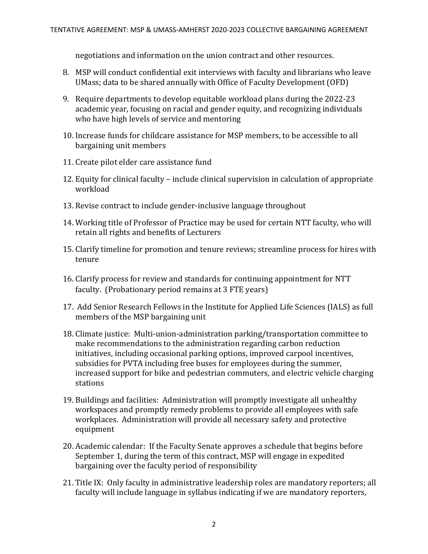negotiations and information on the union contract and other resources.

- 8. MSP will conduct confidential exit interviews with faculty and librarians who leave UMass; data to be shared annually with Office of Faculty Development (OFD)
- 9. Require departments to develop equitable workload plans during the 2022-23 academic year, focusing on racial and gender equity, and recognizing individuals who have high levels of service and mentoring
- 10. Increase funds for childcare assistance for MSP members, to be accessible to all bargaining unit members
- 11. Create pilot elder care assistance fund
- 12. Equity for clinical faculty include clinical supervision in calculation of appropriate workload
- 13. Revise contract to include gender-inclusive language throughout
- 14. Working title of Professor of Practice may be used for certain NTT faculty, who will retain all rights and benefits of Lecturers
- 15. Clarify timeline for promotion and tenure reviews; streamline process for hires with tenure
- 16. Clarify process for review and standards for continuing appointment for NTT faculty. (Probationary period remains at 3 FTE years)
- 17. Add Senior Research Fellows in the Institute for Applied Life Sciences (IALS) as full members of the MSP bargaining unit
- 18. Climate justice: Multi-union-administration parking/transportation committee to make recommendations to the administration regarding carbon reduction initiatives, including occasional parking options, improved carpool incentives, subsidies for PVTA including free buses for employees during the summer, increased support for bike and pedestrian commuters, and electric vehicle charging stations
- 19. Buildings and facilities: Administration will promptly investigate all unhealthy workspaces and promptly remedy problems to provide all employees with safe workplaces. Administration will provide all necessary safety and protective equipment
- 20. Academic calendar: If the Faculty Senate approves a schedule that begins before September 1, during the term of this contract, MSP will engage in expedited bargaining over the faculty period of responsibility
- 21. Title IX: Only faculty in administrative leadership roles are mandatory reporters; all faculty will include language in syllabus indicating if we are mandatory reporters,